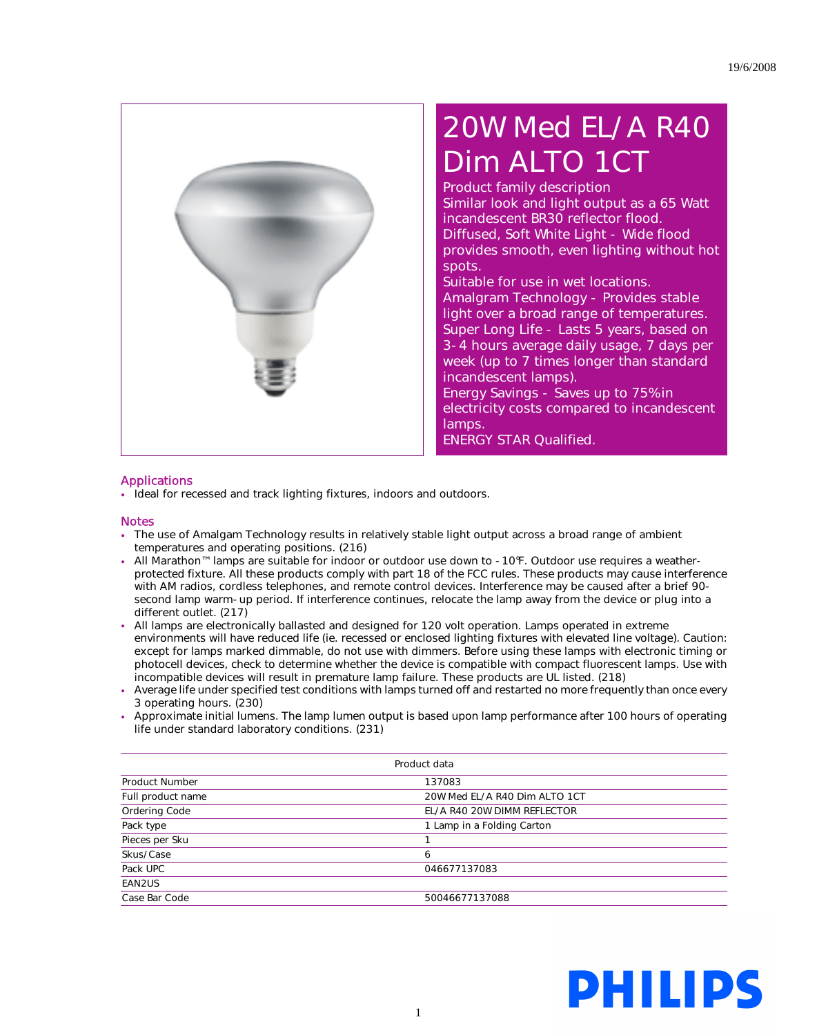

## 20W Med EL/A R40 Dim ALTO 1CT

Product family description Similar look and light output as a 65 Watt incandescent BR30 reflector flood. Diffused, Soft White Light - Wide flood provides smooth, even lighting without hot spots.

Suitable for use in wet locations. Amalgram Technology - Provides stable light over a broad range of temperatures. Super Long Life - Lasts 5 years, based on 3-4 hours average daily usage, 7 days per week (up to 7 times longer than standard incandescent lamps).

Energy Savings - Saves up to 75% in electricity costs compared to incandescent lamps.

ENERGY STAR Qualified.

## Applications

• Ideal for recessed and track lighting fixtures, indoors and outdoors.

## **Notes**

- The use of Amalgam Technology results in relatively stable light output across a broad range of ambient temperatures and operating positions. (216)
- All Marathon™ lamps are suitable for indoor or outdoor use down to -10°F. Outdoor use requires a weatherprotected fixture. All these products comply with part 18 of the FCC rules. These products may cause interference with AM radios, cordless telephones, and remote control devices. Interference may be caused after a brief 90 second lamp warm-up period. If interference continues, relocate the lamp away from the device or plug into a different outlet. (217)
- All lamps are electronically ballasted and designed for 120 volt operation. Lamps operated in extreme environments will have reduced life (ie. recessed or enclosed lighting fixtures with elevated line voltage). Caution: except for lamps marked dimmable, do not use with dimmers. Before using these lamps with electronic timing or photocell devices, check to determine whether the device is compatible with compact fluorescent lamps. Use with incompatible devices will result in premature lamp failure. These products are UL listed. (218)
- Average life under specified test conditions with lamps turned off and restarted no more frequently than once every 3 operating hours. (230)
- Approximate initial lumens. The lamp lumen output is based upon lamp performance after 100 hours of operating life under standard laboratory conditions. (231)

| Product data          |                               |  |
|-----------------------|-------------------------------|--|
| <b>Product Number</b> | 137083                        |  |
| Full product name     | 20W Med EL/A R40 Dim ALTO 1CT |  |
| Ordering Code         | EL/A R40 20W DIMM REFLECTOR   |  |
| Pack type             | 1 Lamp in a Folding Carton    |  |
| Pieces per Sku        |                               |  |
| Skus/Case             | 6                             |  |
| Pack UPC              | 046677137083                  |  |
| EAN2US                |                               |  |
| Case Bar Code         | 50046677137088                |  |